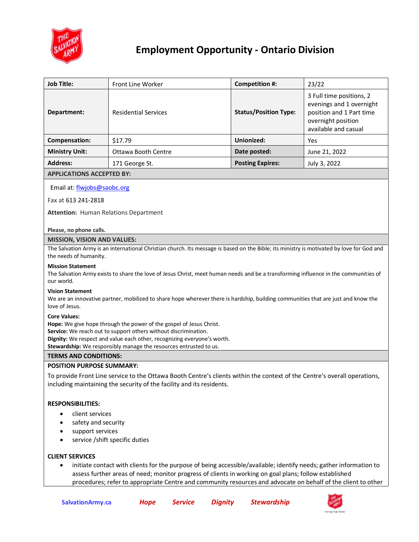

## **Employment Opportunity - Ontario Division**

| <b>Job Title:</b>                | Front Line Worker           | Competition #:               | 23/22                                                                                                                          |  |  |  |
|----------------------------------|-----------------------------|------------------------------|--------------------------------------------------------------------------------------------------------------------------------|--|--|--|
| Department:                      | <b>Residential Services</b> | <b>Status/Position Type:</b> | 3 Full time positions, 2<br>evenings and 1 overnight<br>position and 1 Part time<br>overnight position<br>available and casual |  |  |  |
| Compensation:                    | \$17.79                     | Unionized:                   | Yes                                                                                                                            |  |  |  |
| <b>Ministry Unit:</b>            | Ottawa Booth Centre         | Date posted:                 | June 21, 2022                                                                                                                  |  |  |  |
| <b>Address:</b>                  | 171 George St.              | <b>Posting Expires:</b>      | July 3, 2022                                                                                                                   |  |  |  |
| <b>APPLICATIONS ACCEPTED BY:</b> |                             |                              |                                                                                                                                |  |  |  |

# Email at[: flwjobs@saobc.org](mailto:flwjobs@saobc.org)

Fax at 613 241-2818

**Attention:** Human Relations Department

#### **Please, no phone calls.**

#### **MISSION, VISION AND VALUES:**

The Salvation Army is an international Christian church. Its message is based on the Bible; its ministry is motivated by love for God and the needs of humanity.

#### **Mission Statement**

The Salvation Army exists to share the love of Jesus Christ, meet human needs and be a transforming influence in the communities of our world.

#### **Vision Statement**

We are an innovative partner, mobilized to share hope wherever there is hardship, building communities that are just and know the love of Jesus.

#### **Core Values:**

**Hope:** We give hope through the power of the gospel of Jesus Christ.

**Service:** We reach out to support others without discrimination.

**Dignity:** We respect and value each other, recognizing everyone's worth.

**Stewardship:** We responsibly manage the resources entrusted to us.

#### **TERMS AND CONDITIONS:**

#### **POSITION PURPOSE SUMMARY:**

To provide Front Line service to the Ottawa Booth Centre's clients within the context of the Centre's overall operations, including maintaining the security of the facility and its residents.

## **RESPONSIBILITIES:**

- client services
- safety and security
- support services
- service /shift specific duties

## **CLIENT SERVICES**

 initiate contact with clients for the purpose of being accessible/available; identify needs; gather information to assess further areas of need; monitor progress of clients in working on goal plans; follow established procedures; refer to appropriate Centre and community resources and advocate on behalf of the client to other

| <b>SalvationArmy.ca</b> | Hope | <b>Service</b> | <b>Dignity</b> | <b>Stewardship</b> |
|-------------------------|------|----------------|----------------|--------------------|
|                         |      |                |                |                    |

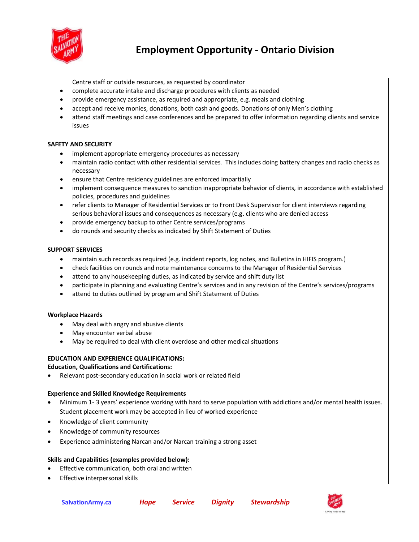

- Centre staff or outside resources, as requested by coordinator
- complete accurate intake and discharge procedures with clients as needed
- provide emergency assistance, as required and appropriate, e.g. meals and clothing
- accept and receive monies, donations, both cash and goods. Donations of only Men's clothing
- attend staff meetings and case conferences and be prepared to offer information regarding clients and service issues

## **SAFETY AND SECURITY**

- implement appropriate emergency procedures as necessary
- maintain radio contact with other residential services. This includes doing battery changes and radio checks as necessary
- ensure that Centre residency guidelines are enforced impartially
- implement consequence measures to sanction inappropriate behavior of clients, in accordance with established policies, procedures and guidelines
- refer clients to Manager of Residential Services or to Front Desk Supervisor for client interviews regarding serious behavioral issues and consequences as necessary (e.g. clients who are denied access
- provide emergency backup to other Centre services/programs
- do rounds and security checks as indicated by Shift Statement of Duties

## **SUPPORT SERVICES**

- maintain such records as required (e.g. incident reports, log notes, and Bulletins in HIFIS program.)
- check facilities on rounds and note maintenance concerns to the Manager of Residential Services
- attend to any housekeeping duties, as indicated by service and shift duty list
- participate in planning and evaluating Centre's services and in any revision of the Centre's services/programs
- attend to duties outlined by program and Shift Statement of Duties

## **Workplace Hazards**

- May deal with angry and abusive clients
- May encounter verbal abuse
- May be required to deal with client overdose and other medical situations

## **EDUCATION AND EXPERIENCE QUALIFICATIONS:**

## **Education, Qualifications and Certifications:**

Relevant post-secondary education in social work or related field

## **Experience and Skilled Knowledge Requirements**

- Minimum 1- 3 years' experience working with hard to serve population with addictions and/or mental health issues. Student placement work may be accepted in lieu of worked experience
- Knowledge of client community
- Knowledge of community resources
- Experience administering Narcan and/or Narcan training a strong asset

## **Skills and Capabilities (examples provided below):**

- Effective communication, both oral and written
- Effective interpersonal skills